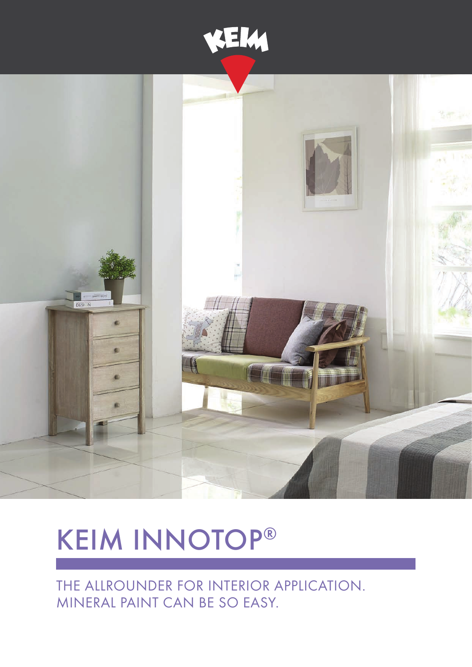



## **KEIM INNOTOP®**

THE ALLROUNDER FOR INTERIOR APPLICATION. MINERAL PAINT CAN BE SO EASY.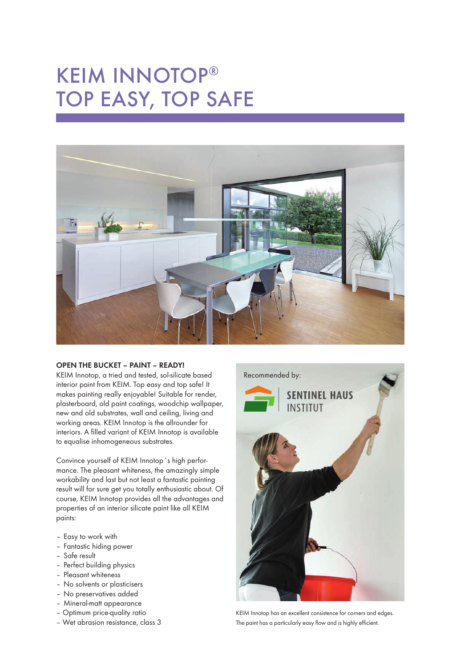## KEIM INNOTOP® TOP EASY, TOP SAFE



## OPEN THE BUCKET – PAINT – READY!

KEIM Innotop, a tried and tested, sol-silicate based interior paint from KEIM. Top easy and top safe! It makes painting really enjoyable! Suitable for render, plasterboard, old paint coatings, woodchip wallpaper, new and old substrates, wall and ceiling, living and working areas. KEIM Innotop is the allrounder for interiors. A filled variant of KEIM Innotop is available to equalise inhomogeneous substrates.

Convince yourself of KEIM Innotop´s high performance. The pleasant whiteness, the amazingly simple workability and last but not least a fantastic painting result will for sure get you totally enthusiastic about. Of course, KEIM Innotop provides all the advantages and properties of an interior silicate paint like all KEIM paints:

- Easy to work with
- Fantastic hiding power
- Safe result
- Perfect building physics
- Pleasant whiteness
- No solvents or plasticisers
- No preservatives added
- Mineral-matt appearance
- Optimum price-quality ratio
- Wet abrasion resistance, class 3



KEIM Innotop has an excellent consistence for corners and edges. The paint has a particularly easy flow and is highly efficient.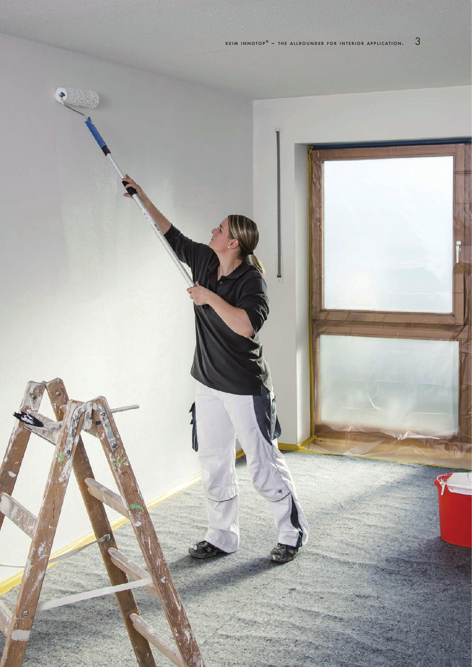